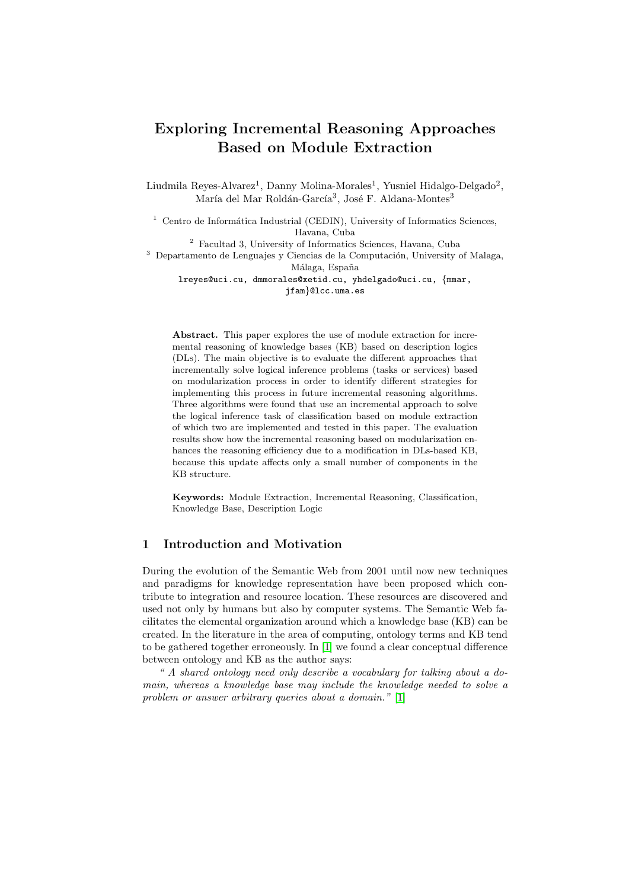# Exploring Incremental Reasoning Approaches Based on Module Extraction

Liudmila Reyes-Alvarez<sup>1</sup>, Danny Molina-Morales<sup>1</sup>, Yusniel Hidalgo-Delgado<sup>2</sup>, María del Mar Roldán-García<sup>3</sup>, José F. Aldana-Montes<sup>3</sup>

 $1$  Centro de Informática Industrial (CEDIN), University of Informatics Sciences, Havana, Cuba

<sup>2</sup> Facultad 3, University of Informatics Sciences, Havana, Cuba <sup>3</sup> Departamento de Lenguajes y Ciencias de la Computación, University of Malaga, Málaga, España lreyes@uci.cu, dmmorales@xetid.cu, yhdelgado@uci.cu, {mmar,

jfam}@lcc.uma.es

Abstract. This paper explores the use of module extraction for incremental reasoning of knowledge bases (KB) based on description logics (DLs). The main objective is to evaluate the different approaches that incrementally solve logical inference problems (tasks or services) based on modularization process in order to identify different strategies for implementing this process in future incremental reasoning algorithms. Three algorithms were found that use an incremental approach to solve the logical inference task of classification based on module extraction of which two are implemented and tested in this paper. The evaluation results show how the incremental reasoning based on modularization enhances the reasoning efficiency due to a modification in DLs-based KB, because this update affects only a small number of components in the KB structure.

Keywords: Module Extraction, Incremental Reasoning, Classification, Knowledge Base, Description Logic

# 1 Introduction and Motivation

During the evolution of the Semantic Web from 2001 until now new techniques and paradigms for knowledge representation have been proposed which contribute to integration and resource location. These resources are discovered and used not only by humans but also by computer systems. The Semantic Web facilitates the elemental organization around which a knowledge base (KB) can be created. In the literature in the area of computing, ontology terms and KB tend to be gathered together erroneously. In [\[1\]](#page-10-0) we found a clear conceptual difference between ontology and KB as the author says:

" A shared ontology need only describe a vocabulary for talking about a domain, whereas a knowledge base may include the knowledge needed to solve a problem or answer arbitrary queries about a domain." [\[1\]](#page-10-0)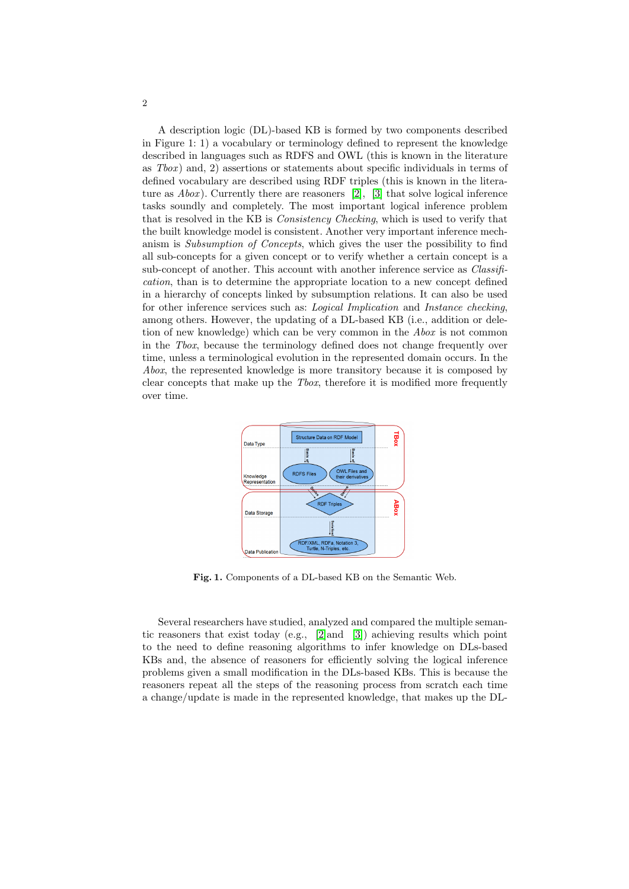A description logic (DL)-based KB is formed by two components described in Figure 1: 1) a vocabulary or terminology defined to represent the knowledge described in languages such as RDFS and OWL (this is known in the literature as  $Tbox$ ) and, 2) assertions or statements about specific individuals in terms of defined vocabulary are described using RDF triples (this is known in the literature as  $Abox$ ). Currently there are reasoners [\[2\]](#page-10-1), [\[3\]](#page-10-2) that solve logical inference tasks soundly and completely. The most important logical inference problem that is resolved in the KB is Consistency Checking, which is used to verify that the built knowledge model is consistent. Another very important inference mechanism is Subsumption of Concepts, which gives the user the possibility to find all sub-concepts for a given concept or to verify whether a certain concept is a sub-concept of another. This account with another inference service as *Classifi*cation, than is to determine the appropriate location to a new concept defined in a hierarchy of concepts linked by subsumption relations. It can also be used for other inference services such as: Logical Implication and Instance checking, among others. However, the updating of a DL-based KB (i.e., addition or deletion of new knowledge) which can be very common in the Abox is not common in the Tbox, because the terminology defined does not change frequently over time, unless a terminological evolution in the represented domain occurs. In the Abox, the represented knowledge is more transitory because it is composed by clear concepts that make up the Tbox, therefore it is modified more frequently over time.



Fig. 1. Components of a DL-based KB on the Semantic Web.

Several researchers have studied, analyzed and compared the multiple semantic reasoners that exist today (e.g., [\[2\]](#page-10-1)and [\[3\]](#page-10-2)) achieving results which point to the need to define reasoning algorithms to infer knowledge on DLs-based KBs and, the absence of reasoners for efficiently solving the logical inference problems given a small modification in the DLs-based KBs. This is because the reasoners repeat all the steps of the reasoning process from scratch each time a change/update is made in the represented knowledge, that makes up the DL-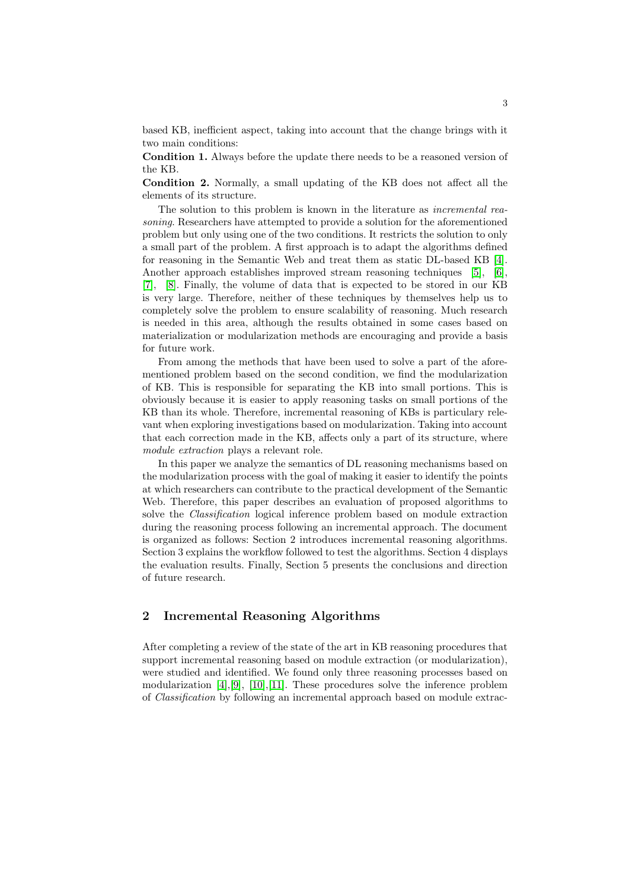based KB, inefficient aspect, taking into account that the change brings with it two main conditions:

Condition 1. Always before the update there needs to be a reasoned version of the KB.

Condition 2. Normally, a small updating of the KB does not affect all the elements of its structure.

The solution to this problem is known in the literature as *incremental rea*soning. Researchers have attempted to provide a solution for the aforementioned problem but only using one of the two conditions. It restricts the solution to only a small part of the problem. A first approach is to adapt the algorithms defined for reasoning in the Semantic Web and treat them as static DL-based KB [\[4\]](#page-10-3). Another approach establishes improved stream reasoning techniques [\[5\]](#page-10-4), [\[6\]](#page-10-5), [\[7\]](#page-10-6), [\[8\]](#page-10-7). Finally, the volume of data that is expected to be stored in our KB is very large. Therefore, neither of these techniques by themselves help us to completely solve the problem to ensure scalability of reasoning. Much research is needed in this area, although the results obtained in some cases based on materialization or modularization methods are encouraging and provide a basis for future work.

From among the methods that have been used to solve a part of the aforementioned problem based on the second condition, we find the modularization of KB. This is responsible for separating the KB into small portions. This is obviously because it is easier to apply reasoning tasks on small portions of the KB than its whole. Therefore, incremental reasoning of KBs is particulary relevant when exploring investigations based on modularization. Taking into account that each correction made in the KB, affects only a part of its structure, where module extraction plays a relevant role.

In this paper we analyze the semantics of DL reasoning mechanisms based on the modularization process with the goal of making it easier to identify the points at which researchers can contribute to the practical development of the Semantic Web. Therefore, this paper describes an evaluation of proposed algorithms to solve the Classification logical inference problem based on module extraction during the reasoning process following an incremental approach. The document is organized as follows: Section 2 introduces incremental reasoning algorithms. Section 3 explains the workflow followed to test the algorithms. Section 4 displays the evaluation results. Finally, Section 5 presents the conclusions and direction of future research.

## 2 Incremental Reasoning Algorithms

After completing a review of the state of the art in KB reasoning procedures that support incremental reasoning based on module extraction (or modularization), were studied and identified. We found only three reasoning processes based on modularization [\[4\]](#page-10-3),[\[9\]](#page-10-8), [\[10\]](#page-10-9),[\[11\]](#page-10-10). These procedures solve the inference problem of Classification by following an incremental approach based on module extrac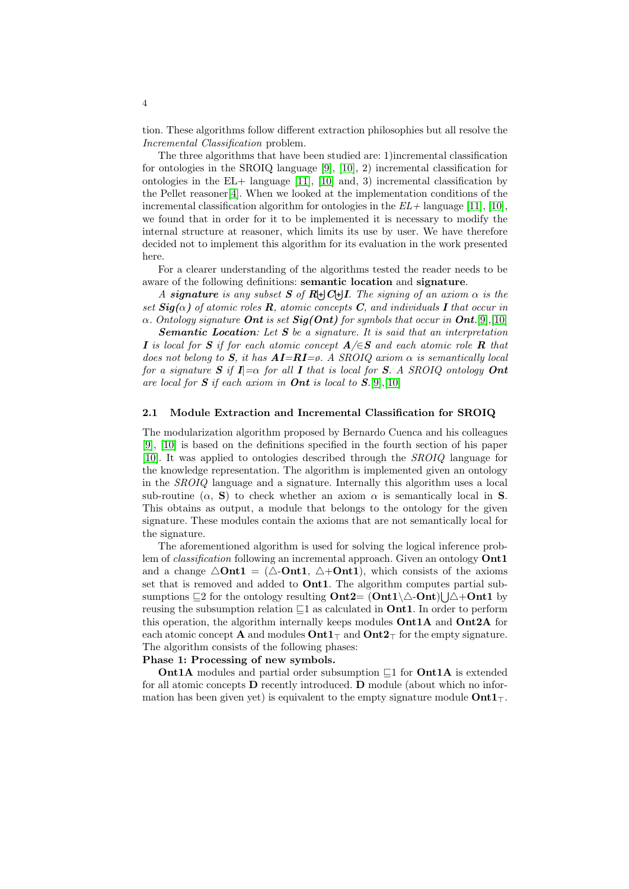tion. These algorithms follow different extraction philosophies but all resolve the Incremental Classification problem.

The three algorithms that have been studied are: 1)incremental classification for ontologies in the SROIQ language [\[9\]](#page-10-8), [\[10\]](#page-10-9), 2) incremental classification for ontologies in the EL+ language  $[11]$ ,  $[10]$  and, 3) incremental classification by the Pellet reasoner[\[4\]](#page-10-3). When we looked at the implementation conditions of the incremental classification algorithm for ontologies in the  $EL+$  language [\[11\]](#page-10-10), [\[10\]](#page-10-9), we found that in order for it to be implemented it is necessary to modify the internal structure at reasoner, which limits its use by user. We have therefore decided not to implement this algorithm for its evaluation in the work presented here.

For a clearer understanding of the algorithms tested the reader needs to be aware of the following definitions: semantic location and signature.

A signature is any subset S of  $R \bigcup C \bigcup I$ . The signing of an axiom  $\alpha$  is the set  $\text{Sig}(\alpha)$  of atomic roles **R**, atomic concepts **C**, and individuals **I** that occur in  $\alpha$ . Ontology signature **Ont** is set **Sig(Ont)** for symbols that occur in **Ont**.[\[9\]](#page-10-8),[\[10\]](#page-10-9)

**Semantic Location:** Let  $S$  be a signature. It is said that an interpretation I is local for S if for each atomic concept  $A/\epsilon S$  and each atomic role R that does not belong to S, it has  $\mathbf{AI} = \mathbf{RI} = \emptyset$ . A SROIQ axiom  $\alpha$  is semantically local for a signature S if  $I = \alpha$  for all I that is local for S. A SROIQ ontology Ont are local for  $S$  if each axiom in **Ont** is local to  $S$ .[\[9\]](#page-10-8),[\[10\]](#page-10-9)

#### 2.1 Module Extraction and Incremental Classification for SROIQ

The modularization algorithm proposed by Bernardo Cuenca and his colleagues [\[9\]](#page-10-8), [\[10\]](#page-10-9) is based on the definitions specified in the fourth section of his paper [\[10\]](#page-10-9). It was applied to ontologies described through the SROIQ language for the knowledge representation. The algorithm is implemented given an ontology in the SROIQ language and a signature. Internally this algorithm uses a local sub-routine  $(\alpha, S)$  to check whether an axiom  $\alpha$  is semantically local in S. This obtains as output, a module that belongs to the ontology for the given signature. These modules contain the axioms that are not semantically local for the signature.

The aforementioned algorithm is used for solving the logical inference problem of *classification* following an incremental approach. Given an ontology **Ont1** and a change  $\Delta$ Ont1 = ( $\Delta$ -Ont1,  $\Delta$ +Ont1), which consists of the axioms set that is removed and added to Ont1. The algorithm computes partial subsumptions  $\sqsubseteq$ 2 for the ontology resulting  $\text{Out2}=(\text{Out1}\setminus\triangle-\text{Out})\bigcup\triangle+\text{Out1}$  by reusing the subsumption relation  $\sqsubseteq$ 1 as calculated in **Ont1**. In order to perform this operation, the algorithm internally keeps modules  $\text{Ont1A}$  and  $\text{Ont2A}$  for each atomic concept **A** and modules  $\text{Out1}_{\top}$  and  $\text{Out2}_{\top}$  for the empty signature. The algorithm consists of the following phases:

#### Phase 1: Processing of new symbols.

**Ont1A** modules and partial order subsumption  $\sqsubseteq$ 1 for **Ont1A** is extended for all atomic concepts D recently introduced. D module (about which no information has been given yet) is equivalent to the empty signature module  $\text{Out1}_{\top}$ .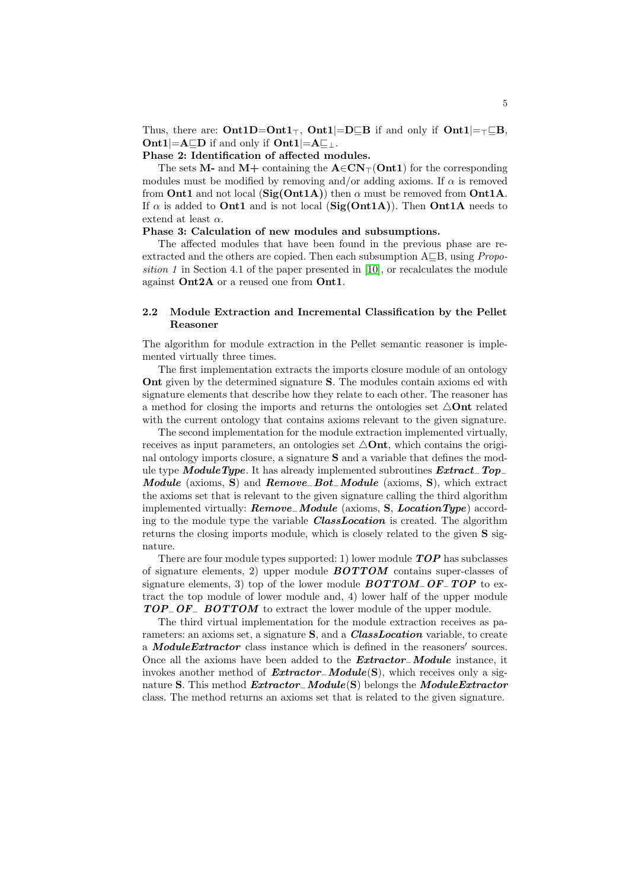Thus, there are:  $\text{Ont1D}=\text{Ont1}_{\top}$ ,  $\text{Ont1}|=\text{D}\sqsubseteq\text{B}$  if and only if  $\text{Ont1}|=\top \sqsubseteq \text{B}$ ,  $\text{Out1}|\text{=A}\sqsubseteq\text{D}$  if and only if  $\text{Out1}|\text{=A}\sqsubseteq\perp$ .

#### Phase 2: Identification of affected modules.

The sets M- and M+ containing the  $A \in CN<sub>T</sub>(\text{Ont1})$  for the corresponding modules must be modified by removing and/or adding axioms. If  $\alpha$  is removed from Ont1 and not local (Sig(Ont1A)) then  $\alpha$  must be removed from Ont1A. If  $\alpha$  is added to **Ont1** and is not local (Sig(Ont1A)). Then **Ont1A** needs to extend at least  $\alpha$ .

#### Phase 3: Calculation of new modules and subsumptions.

The affected modules that have been found in the previous phase are reextracted and the others are copied. Then each subsumption  $A\subseteq B$ , using *Propo*sition 1 in Section 4.1 of the paper presented in  $[10]$ , or recalculates the module against Ont2A or a reused one from Ont1.

#### 2.2 Module Extraction and Incremental Classification by the Pellet Reasoner

The algorithm for module extraction in the Pellet semantic reasoner is implemented virtually three times.

The first implementation extracts the imports closure module of an ontology Ont given by the determined signature S. The modules contain axioms ed with signature elements that describe how they relate to each other. The reasoner has a method for closing the imports and returns the ontologies set  $\triangle$ Ont related with the current ontology that contains axioms relevant to the given signature.

The second implementation for the module extraction implemented virtually, receives as input parameters, an ontologies set  $\triangle$ Ont, which contains the original ontology imports closure, a signature S and a variable that defines the module type ModuleType. It has already implemented subroutines  $Extract\_Top_{-}$ Module (axioms, S) and  $Remove\_Bot\_Module$  (axioms, S), which extract the axioms set that is relevant to the given signature calling the third algorithm implemented virtually:  $Remove\_Module$  (axioms, S, LocationType) according to the module type the variable **ClassLocation** is created. The algorithm returns the closing imports module, which is closely related to the given S signature.

There are four module types supported: 1) lower module  $TOP$  has subclasses of signature elements, 2) upper module  $BOTTOM$  contains super-classes of signature elements, 3) top of the lower module  $BOTTOM\_OF\_TOP$  to extract the top module of lower module and, 4) lower half of the upper module TOP<sub>−</sub>OF<sub>−</sub> BOTTOM to extract the lower module of the upper module.

The third virtual implementation for the module extraction receives as parameters: an axioms set, a signature S, and a *ClassLocation* variable, to create a **ModuleExtractor** class instance which is defined in the reasoners' sources. Once all the axioms have been added to the Extractor−Module instance, it invokes another method of  $Extractor_{\neg}Module(S)$ , which receives only a signature S. This method *Extractor*<sub>−</sub>Module(S) belongs the ModuleExtractor class. The method returns an axioms set that is related to the given signature.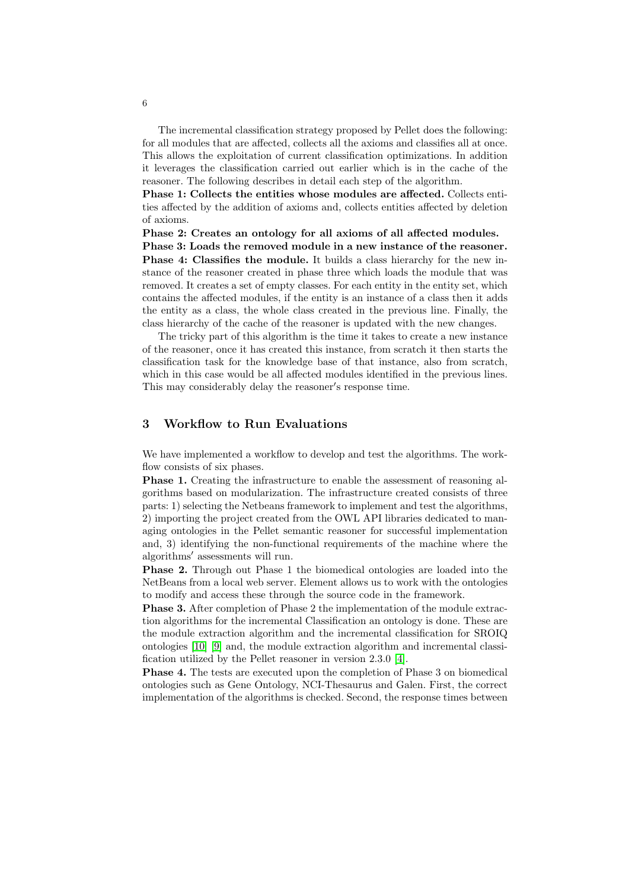The incremental classification strategy proposed by Pellet does the following: for all modules that are affected, collects all the axioms and classifies all at once. This allows the exploitation of current classification optimizations. In addition it leverages the classification carried out earlier which is in the cache of the reasoner. The following describes in detail each step of the algorithm.

Phase 1: Collects the entities whose modules are affected. Collects entities affected by the addition of axioms and, collects entities affected by deletion of axioms.

Phase 2: Creates an ontology for all axioms of all affected modules. Phase 3: Loads the removed module in a new instance of the reasoner.

Phase 4: Classifies the module. It builds a class hierarchy for the new instance of the reasoner created in phase three which loads the module that was removed. It creates a set of empty classes. For each entity in the entity set, which contains the affected modules, if the entity is an instance of a class then it adds the entity as a class, the whole class created in the previous line. Finally, the class hierarchy of the cache of the reasoner is updated with the new changes.

The tricky part of this algorithm is the time it takes to create a new instance of the reasoner, once it has created this instance, from scratch it then starts the classification task for the knowledge base of that instance, also from scratch, which in this case would be all affected modules identified in the previous lines. This may considerably delay the reasoner's response time.

# 3 Workflow to Run Evaluations

We have implemented a workflow to develop and test the algorithms. The workflow consists of six phases.

Phase 1. Creating the infrastructure to enable the assessment of reasoning algorithms based on modularization. The infrastructure created consists of three parts: 1) selecting the Netbeans framework to implement and test the algorithms, 2) importing the project created from the OWL API libraries dedicated to managing ontologies in the Pellet semantic reasoner for successful implementation and, 3) identifying the non-functional requirements of the machine where the algorithms' assessments will run.

Phase 2. Through out Phase 1 the biomedical ontologies are loaded into the NetBeans from a local web server. Element allows us to work with the ontologies to modify and access these through the source code in the framework.

**Phase 3.** After completion of Phase 2 the implementation of the module extraction algorithms for the incremental Classification an ontology is done. These are the module extraction algorithm and the incremental classification for SROIQ ontologies [\[10\]](#page-10-9) [\[9\]](#page-10-8) and, the module extraction algorithm and incremental classification utilized by the Pellet reasoner in version 2.3.0 [\[4\]](#page-10-3).

Phase 4. The tests are executed upon the completion of Phase 3 on biomedical ontologies such as Gene Ontology, NCI-Thesaurus and Galen. First, the correct implementation of the algorithms is checked. Second, the response times between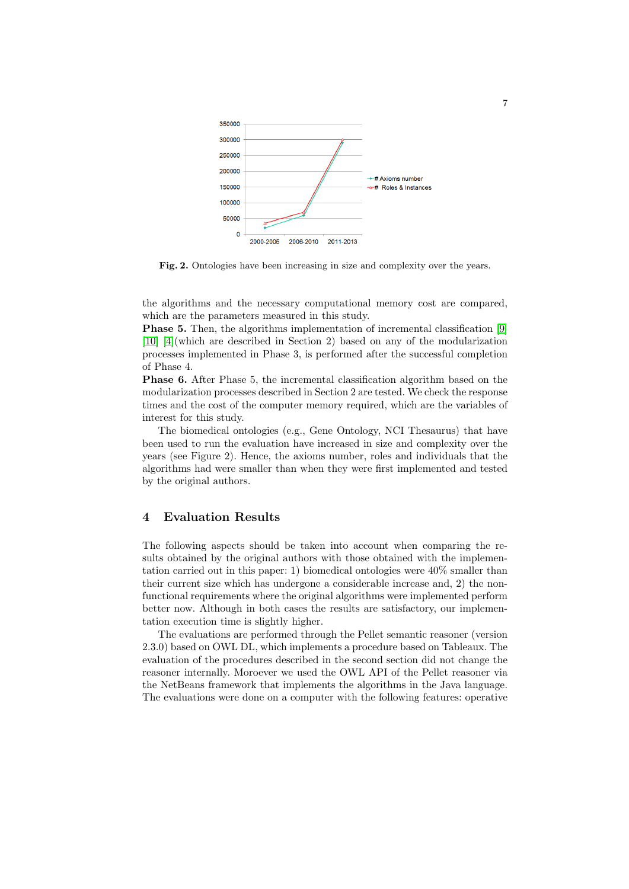

Fig. 2. Ontologies have been increasing in size and complexity over the years.

the algorithms and the necessary computational memory cost are compared, which are the parameters measured in this study.

Phase 5. Then, the algorithms implementation of incremental classification [\[9\]](#page-10-8) [\[10\]](#page-10-9) [\[4\]](#page-10-3)(which are described in Section 2) based on any of the modularization processes implemented in Phase 3, is performed after the successful completion of Phase 4.

Phase 6. After Phase 5, the incremental classification algorithm based on the modularization processes described in Section 2 are tested. We check the response times and the cost of the computer memory required, which are the variables of interest for this study.

The biomedical ontologies (e.g., Gene Ontology, NCI Thesaurus) that have been used to run the evaluation have increased in size and complexity over the years (see Figure 2). Hence, the axioms number, roles and individuals that the algorithms had were smaller than when they were first implemented and tested by the original authors.

# 4 Evaluation Results

The following aspects should be taken into account when comparing the results obtained by the original authors with those obtained with the implementation carried out in this paper: 1) biomedical ontologies were  $40\%$  smaller than their current size which has undergone a considerable increase and, 2) the nonfunctional requirements where the original algorithms were implemented perform better now. Although in both cases the results are satisfactory, our implementation execution time is slightly higher.

The evaluations are performed through the Pellet semantic reasoner (version 2.3.0) based on OWL DL, which implements a procedure based on Tableaux. The evaluation of the procedures described in the second section did not change the reasoner internally. Moroever we used the OWL API of the Pellet reasoner via the NetBeans framework that implements the algorithms in the Java language. The evaluations were done on a computer with the following features: operative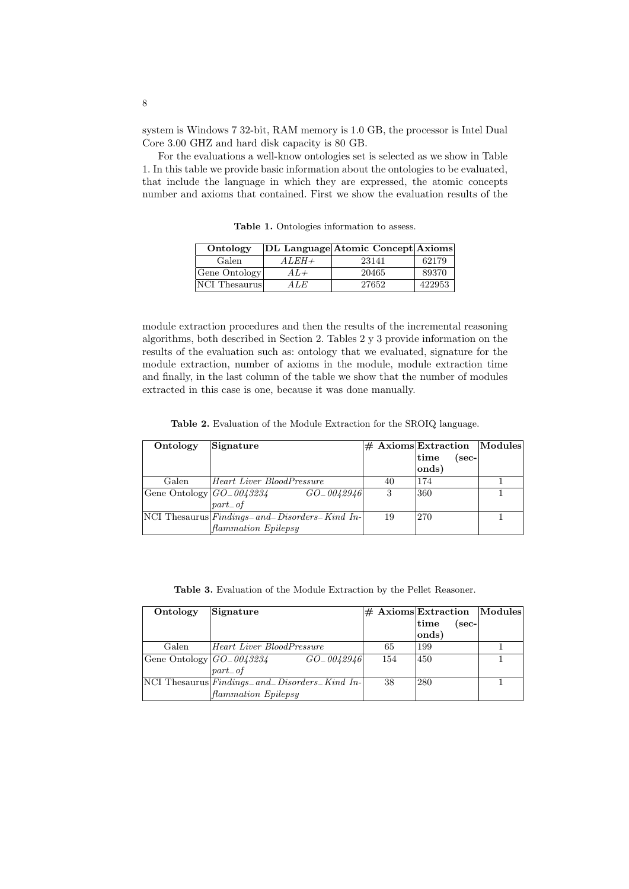system is Windows 7 32-bit, RAM memory is 1.0 GB, the processor is Intel Dual Core 3.00 GHZ and hard disk capacity is 80 GB.

For the evaluations a well-know ontologies set is selected as we show in Table 1. In this table we provide basic information about the ontologies to be evaluated, that include the language in which they are expressed, the atomic concepts number and axioms that contained. First we show the evaluation results of the

Table 1. Ontologies information to assess.

| Ontology      |         | DL Language Atomic Concept Axioms |        |
|---------------|---------|-----------------------------------|--------|
| Galen         | $ALEH+$ | 23141                             | 62179  |
| Gene Ontology | $A L +$ | 20465                             | 89370  |
| NCI Thesaurus | A LE    | 27652                             | 422953 |

module extraction procedures and then the results of the incremental reasoning algorithms, both described in Section 2. Tables 2 y 3 provide information on the results of the evaluation such as: ontology that we evaluated, signature for the module extraction, number of axioms in the module, module extraction time and finally, in the last column of the table we show that the number of modules extracted in this case is one, because it was done manually.

Table 2. Evaluation of the Module Extraction for the SROIQ language.

| Ontology                     | Signature                                            |    |       |      | $\#$ Axioms Extraction Modules |
|------------------------------|------------------------------------------------------|----|-------|------|--------------------------------|
|                              |                                                      |    | time  | sec- |                                |
|                              |                                                      |    | onds) |      |                                |
| Galen                        | Heart Liver BloodPressure                            | 40 | 174   |      |                                |
| Gene Ontology $ GO_0043234 $ | $GO\_0042946$                                        | -3 | 360   |      |                                |
|                              | $part\_of$                                           |    |       |      |                                |
|                              | $NCI$ Thesaurus $Findings_ and_ Disorders_$ Kind In- | 19 | 270   |      |                                |
|                              | flammation Epilepsy                                  |    |       |      |                                |

Table 3. Evaluation of the Module Extraction by the Pellet Reasoner.

| Ontology                     | Signature                                              |     |                   |       | $\#$ Axioms Extraction Modules |
|------------------------------|--------------------------------------------------------|-----|-------------------|-------|--------------------------------|
|                              |                                                        |     | $ \mathrm{time} $ | (sec- |                                |
|                              |                                                        |     | $ {\rm onds} $    |       |                                |
| Galen                        | <b>Heart Liver BloodPressure</b>                       | 65  | 199               |       |                                |
| Gene Ontology $ GO_0043234 $ | GO_0042946                                             | 154 | 450               |       |                                |
|                              | $part\_of$                                             |     |                   |       |                                |
|                              | $ NCI$ Thesaurus $ Findings_ and_ Disorders_$ Kind In- | -38 | 280               |       |                                |
|                              | <i>flammation Epilepsy</i>                             |     |                   |       |                                |

8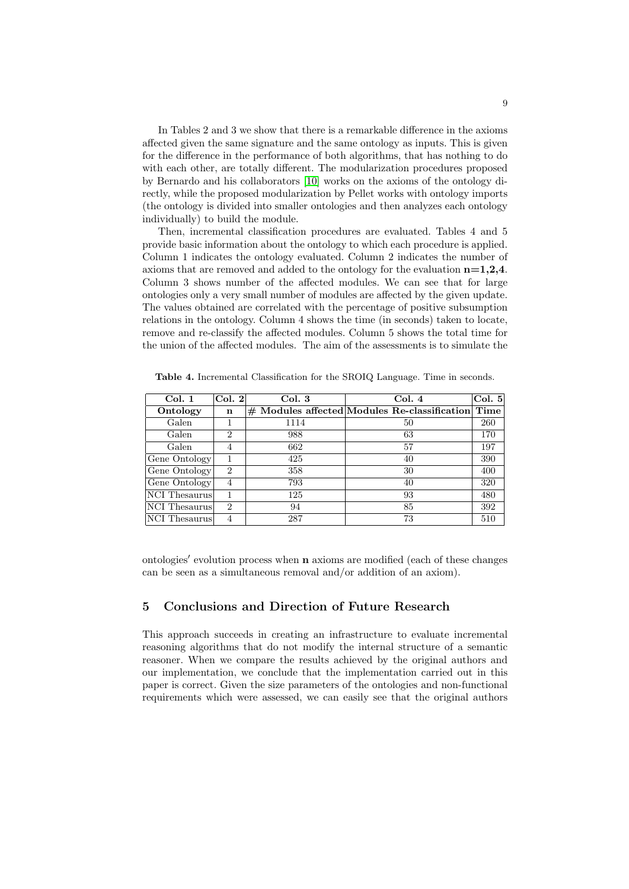In Tables 2 and 3 we show that there is a remarkable difference in the axioms affected given the same signature and the same ontology as inputs. This is given for the difference in the performance of both algorithms, that has nothing to do with each other, are totally different. The modularization procedures proposed by Bernardo and his collaborators [\[10\]](#page-10-9) works on the axioms of the ontology directly, while the proposed modularization by Pellet works with ontology imports (the ontology is divided into smaller ontologies and then analyzes each ontology individually) to build the module.

Then, incremental classification procedures are evaluated. Tables 4 and 5 provide basic information about the ontology to which each procedure is applied. Column 1 indicates the ontology evaluated. Column 2 indicates the number of axioms that are removed and added to the ontology for the evaluation  $n=1,2,4$ . Column 3 shows number of the affected modules. We can see that for large ontologies only a very small number of modules are affected by the given update. The values obtained are correlated with the percentage of positive subsumption relations in the ontology. Column 4 shows the time (in seconds) taken to locate, remove and re-classify the affected modules. Column 5 shows the total time for the union of the affected modules. The aim of the assessments is to simulate the

| Col. 1        | Col. 2         | Col.3 | Col.4                                               | Col. 5 |
|---------------|----------------|-------|-----------------------------------------------------|--------|
| Ontology      | n              |       | $#$ Modules affected Modules Re-classification Time |        |
| Galen         |                | 1114  | 50                                                  | 260    |
| Galen         | $\overline{2}$ | 988   | 63                                                  | 170    |
| Galen         | 4              | 662   | 57                                                  | 197    |
| Gene Ontology |                | 425   | 40                                                  | 390    |
| Gene Ontology | $\overline{2}$ | 358   | 30                                                  | 400    |
| Gene Ontology | $\overline{4}$ | 793   | 40                                                  | 320    |
| NCI Thesaurus |                | 125   | 93                                                  | 480    |
| NCI Thesaurus | $\mathfrak{D}$ | 94    | 85                                                  | 392    |
| NCI Thesaurus | $\overline{4}$ | 287   | 73                                                  | 510    |

Table 4. Incremental Classification for the SROIQ Language. Time in seconds.

ontologies' evolution process when n axioms are modified (each of these changes can be seen as a simultaneous removal and/or addition of an axiom).

## 5 Conclusions and Direction of Future Research

This approach succeeds in creating an infrastructure to evaluate incremental reasoning algorithms that do not modify the internal structure of a semantic reasoner. When we compare the results achieved by the original authors and our implementation, we conclude that the implementation carried out in this paper is correct. Given the size parameters of the ontologies and non-functional requirements which were assessed, we can easily see that the original authors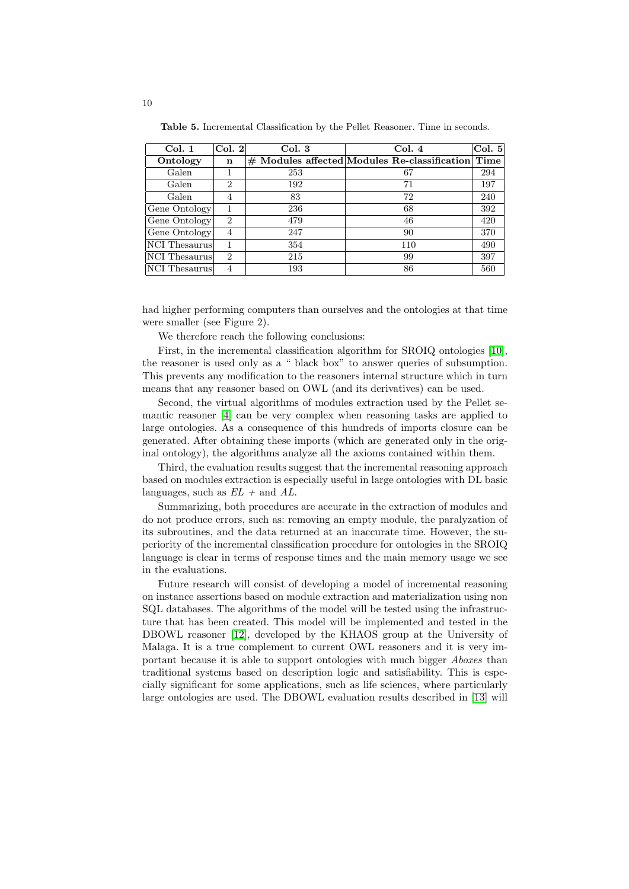Table 5. Incremental Classification by the Pellet Reasoner. Time in seconds.

| Col. 1        | Col. 2         | Col.3 | Col.4                                          | Col. 5 |
|---------------|----------------|-------|------------------------------------------------|--------|
| Ontology      | n              |       | $#$ Modules affected Modules Re-classification | Time   |
| Galen         |                | 253   | 67                                             | 294    |
| Galen         | $\overline{2}$ | 192   | 71                                             | 197    |
| Galen         | 4              | 83    | 72                                             | 240    |
| Gene Ontology |                | 236   | 68                                             | 392    |
| Gene Ontology | $\overline{2}$ | 479   | 46                                             | 420    |
| Gene Ontology | 4              | 247   | 90                                             | 370    |
| NCI Thesaurus |                | 354   | 110                                            | 490    |
| NCI Thesaurus | $\overline{2}$ | 215   | 99                                             | 397    |
| NCI Thesaurus |                | 193   | 86                                             | 560    |

had higher performing computers than ourselves and the ontologies at that time were smaller (see Figure 2).

We therefore reach the following conclusions:

First, in the incremental classification algorithm for SROIQ ontologies [\[10\]](#page-10-9), the reasoner is used only as a " black box" to answer queries of subsumption. This prevents any modification to the reasoners internal structure which in turn means that any reasoner based on OWL (and its derivatives) can be used.

Second, the virtual algorithms of modules extraction used by the Pellet semantic reasoner [\[4\]](#page-10-3) can be very complex when reasoning tasks are applied to large ontologies. As a consequence of this hundreds of imports closure can be generated. After obtaining these imports (which are generated only in the original ontology), the algorithms analyze all the axioms contained within them.

Third, the evaluation results suggest that the incremental reasoning approach based on modules extraction is especially useful in large ontologies with DL basic languages, such as  $EL +$  and  $AL$ .

Summarizing, both procedures are accurate in the extraction of modules and do not produce errors, such as: removing an empty module, the paralyzation of its subroutines, and the data returned at an inaccurate time. However, the superiority of the incremental classification procedure for ontologies in the SROIQ language is clear in terms of response times and the main memory usage we see in the evaluations.

Future research will consist of developing a model of incremental reasoning on instance assertions based on module extraction and materialization using non SQL databases. The algorithms of the model will be tested using the infrastructure that has been created. This model will be implemented and tested in the DBOWL reasoner [\[12\]](#page-10-11), developed by the KHAOS group at the University of Malaga. It is a true complement to current OWL reasoners and it is very important because it is able to support ontologies with much bigger Aboxes than traditional systems based on description logic and satisfiability. This is especially significant for some applications, such as life sciences, where particularly large ontologies are used. The DBOWL evaluation results described in [\[13\]](#page-11-0) will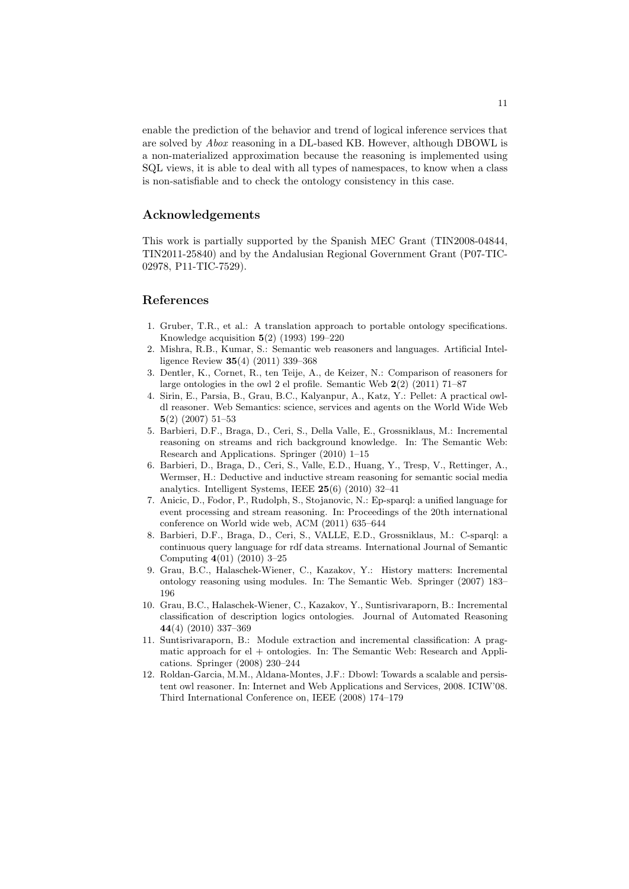enable the prediction of the behavior and trend of logical inference services that are solved by Abox reasoning in a DL-based KB. However, although DBOWL is a non-materialized approximation because the reasoning is implemented using SQL views, it is able to deal with all types of namespaces, to know when a class is non-satisfiable and to check the ontology consistency in this case.

## Acknowledgements

This work is partially supported by the Spanish MEC Grant (TIN2008-04844, TIN2011-25840) and by the Andalusian Regional Government Grant (P07-TIC-02978, P11-TIC-7529).

### References

- <span id="page-10-0"></span>1. Gruber, T.R., et al.: A translation approach to portable ontology specifications. Knowledge acquisition  $5(2)$  (1993) 199–220
- <span id="page-10-1"></span>2. Mishra, R.B., Kumar, S.: Semantic web reasoners and languages. Artificial Intelligence Review 35(4) (2011) 339–368
- <span id="page-10-2"></span>3. Dentler, K., Cornet, R., ten Teije, A., de Keizer, N.: Comparison of reasoners for large ontologies in the owl 2 el profile. Semantic Web  $2(2)$   $(2011)$   $71-87$
- <span id="page-10-3"></span>4. Sirin, E., Parsia, B., Grau, B.C., Kalyanpur, A., Katz, Y.: Pellet: A practical owldl reasoner. Web Semantics: science, services and agents on the World Wide Web 5(2) (2007) 51–53
- <span id="page-10-4"></span>5. Barbieri, D.F., Braga, D., Ceri, S., Della Valle, E., Grossniklaus, M.: Incremental reasoning on streams and rich background knowledge. In: The Semantic Web: Research and Applications. Springer (2010) 1–15
- <span id="page-10-5"></span>6. Barbieri, D., Braga, D., Ceri, S., Valle, E.D., Huang, Y., Tresp, V., Rettinger, A., Wermser, H.: Deductive and inductive stream reasoning for semantic social media analytics. Intelligent Systems, IEEE 25(6) (2010) 32–41
- <span id="page-10-6"></span>7. Anicic, D., Fodor, P., Rudolph, S., Stojanovic, N.: Ep-sparql: a unified language for event processing and stream reasoning. In: Proceedings of the 20th international conference on World wide web, ACM (2011) 635–644
- <span id="page-10-7"></span>8. Barbieri, D.F., Braga, D., Ceri, S., VALLE, E.D., Grossniklaus, M.: C-sparql: a continuous query language for rdf data streams. International Journal of Semantic Computing 4(01) (2010) 3–25
- <span id="page-10-8"></span>9. Grau, B.C., Halaschek-Wiener, C., Kazakov, Y.: History matters: Incremental ontology reasoning using modules. In: The Semantic Web. Springer (2007) 183– 196
- <span id="page-10-9"></span>10. Grau, B.C., Halaschek-Wiener, C., Kazakov, Y., Suntisrivaraporn, B.: Incremental classification of description logics ontologies. Journal of Automated Reasoning 44(4) (2010) 337–369
- <span id="page-10-10"></span>11. Suntisrivaraporn, B.: Module extraction and incremental classification: A pragmatic approach for  $el +$  ontologies. In: The Semantic Web: Research and Applications. Springer (2008) 230–244
- <span id="page-10-11"></span>12. Roldan-Garcia, M.M., Aldana-Montes, J.F.: Dbowl: Towards a scalable and persistent owl reasoner. In: Internet and Web Applications and Services, 2008. ICIW'08. Third International Conference on, IEEE (2008) 174–179